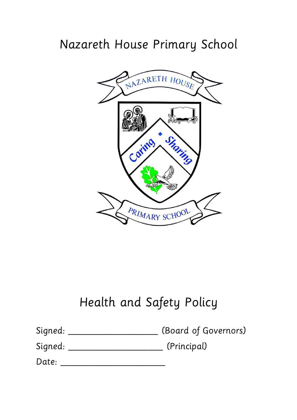# Nazareth House Primary School



# Health and Safety Policy

| Signed: | (Board of Governors) |
|---------|----------------------|
| Signed: | (Principal)          |

| Date: |  |
|-------|--|
|       |  |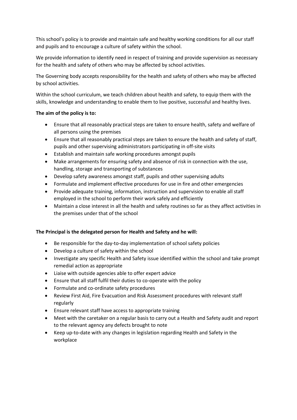This school's policy is to provide and maintain safe and healthy working conditions for all our staff and pupils and to encourage a culture of safety within the school.

We provide information to identify need in respect of training and provide supervision as necessary for the health and safety of others who may be affected by school activities.

The Governing body accepts responsibility for the health and safety of others who may be affected by school activities.

Within the school curriculum, we teach children about health and safety, to equip them with the skills, knowledge and understanding to enable them to live positive, successful and healthy lives.

#### **The aim of the policy is to:**

- Ensure that all reasonably practical steps are taken to ensure health, safety and welfare of all persons using the premises
- Ensure that all reasonably practical steps are taken to ensure the health and safety of staff, pupils and other supervising administrators participating in off-site visits
- Establish and maintain safe working procedures amongst pupils
- Make arrangements for ensuring safety and absence of risk in connection with the use, handling, storage and transporting of substances
- Develop safety awareness amongst staff, pupils and other supervising adults
- Formulate and implement effective procedures for use in fire and other emergencies
- Provide adequate training, information, instruction and supervision to enable all staff employed in the school to perform their work safely and efficiently
- Maintain a close interest in all the health and safety routines so far as they affect activities in the premises under that of the school

#### **The Principal is the delegated person for Health and Safety and he will:**

- Be responsible for the day-to-day implementation of school safety policies
- Develop a culture of safety within the school
- Investigate any specific Health and Safety issue identified within the school and take prompt remedial action as appropriate
- Liaise with outside agencies able to offer expert advice
- Ensure that all staff fulfil their duties to co-operate with the policy
- Formulate and co-ordinate safety procedures
- Review First Aid, Fire Evacuation and Risk Assessment procedures with relevant staff regularly
- Ensure relevant staff have access to appropriate training
- Meet with the caretaker on a regular basis to carry out a Health and Safety audit and report to the relevant agency any defects brought to note
- Keep up-to-date with any changes in legislation regarding Health and Safety in the workplace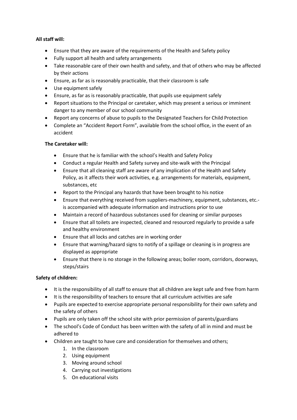#### **All staff will:**

- Ensure that they are aware of the requirements of the Health and Safety policy
- Fully support all health and safety arrangements
- Take reasonable care of their own health and safety, and that of others who may be affected by their actions
- Ensure, as far as is reasonably practicable, that their classroom is safe
- Use equipment safely
- Ensure, as far as is reasonably practicable, that pupils use equipment safely
- Report situations to the Principal or caretaker, which may present a serious or imminent danger to any member of our school community
- Report any concerns of abuse to pupils to the Designated Teachers for Child Protection
- Complete an "Accident Report Form", available from the school office, in the event of an accident

#### **The Caretaker will:**

- Ensure that he is familiar with the school's Health and Safety Policy
- Conduct a regular Health and Safety survey and site-walk with the Principal
- Ensure that all cleaning staff are aware of any implication of the Health and Safety Policy, as it affects their work activities, e.g. arrangements for materials, equipment, substances, etc
- Report to the Principal any hazards that have been brought to his notice
- Ensure that everything received from suppliers-machinery, equipment, substances, etc. is accompanied with adequate information and instructions prior to use
- Maintain a record of hazardous substances used for cleaning or similar purposes
- Ensure that all toilets are inspected, cleaned and resourced regularly to provide a safe and healthy environment
- Ensure that all locks and catches are in working order
- Ensure that warning/hazard signs to notify of a spillage or cleaning is in progress are displayed as appropriate
- Ensure that there is no storage in the following areas; boiler room, corridors, doorways, steps/stairs

#### **Safety of children:**

- It is the responsibility of all staff to ensure that all children are kept safe and free from harm
- It is the responsibility of teachers to ensure that all curriculum activities are safe
- Pupils are expected to exercise appropriate personal responsibility for their own safety and the safety of others
- Pupils are only taken off the school site with prior permission of parents/guardians
- The school's Code of Conduct has been written with the safety of all in mind and must be adhered to
- Children are taught to have care and consideration for themselves and others;
	- 1. In the classroom
	- 2. Using equipment
	- 3. Moving around school
	- 4. Carrying out investigations
	- 5. On educational visits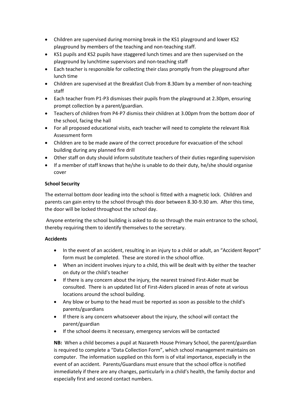- Children are supervised during morning break in the KS1 playground and lower KS2 playground by members of the teaching and non-teaching staff.
- KS1 pupils and KS2 pupils have staggered lunch times and are then supervised on the playground by lunchtime supervisors and non-teaching staff
- Each teacher is responsible for collecting their class promptly from the playground after lunch time
- Children are supervised at the Breakfast Club from 8.30am by a member of non-teaching staff
- Each teacher from P1-P3 dismisses their pupils from the playground at 2.30pm, ensuring prompt collection by a parent/guardian.
- Teachers of children from P4-P7 dismiss their children at 3.00pm from the bottom door of the school, facing the hall
- For all proposed educational visits, each teacher will need to complete the relevant Risk Assessment form
- Children are to be made aware of the correct procedure for evacuation of the school building during any planned fire drill
- Other staff on duty should inform substitute teachers of their duties regarding supervision
- If a member of staff knows that he/she is unable to do their duty, he/she should organise cover

#### **School Security**

The external bottom door leading into the school is fitted with a magnetic lock. Children and parents can gain entry to the school through this door between 8.30-9.30 am. After this time, the door will be locked throughout the school day.

Anyone entering the school building is asked to do so through the main entrance to the school, thereby requiring them to identify themselves to the secretary.

#### **Accidents**

- In the event of an accident, resulting in an injury to a child or adult, an "Accident Report" form must be completed. These are stored in the school office.
- When an incident involves injury to a child, this will be dealt with by either the teacher on duty or the child's teacher
- If there is any concern about the injury, the nearest trained First-Aider must be consulted. There is an updated list of First-Aiders placed in areas of note at various locations around the school building.
- Any blow or bump to the head must be reported as soon as possible to the child's parents/guardians
- If there is any concern whatsoever about the injury, the school will contact the parent/guardian
- If the school deems it necessary, emergency services will be contacted

**NB:** When a child becomes a pupil at Nazareth House Primary School, the parent/guardian is required to complete a "Data Collection Form", which school management maintains on computer. The information supplied on this form is of vital importance, especially in the event of an accident. Parents/Guardians must ensure that the school office is notified immediately if there are any changes, particularly in a child's health, the family doctor and especially first and second contact numbers.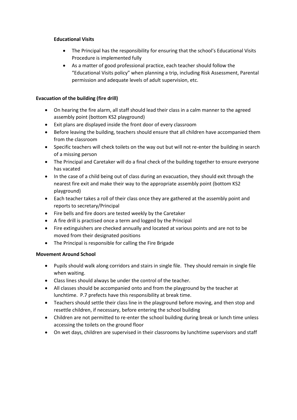#### **Educational Visits**

- The Principal has the responsibility for ensuring that the school's Educational Visits Procedure is implemented fully
- As a matter of good professional practice, each teacher should follow the "Educational Visits policy" when planning a trip, including Risk Assessment, Parental permission and adequate levels of adult supervision, etc.

## **Evacuation of the building (fire drill)**

- On hearing the fire alarm, all staff should lead their class in a calm manner to the agreed assembly point (bottom KS2 playground)
- Exit plans are displayed inside the front door of every classroom
- Before leaving the building, teachers should ensure that all children have accompanied them from the classroom
- Specific teachers will check toilets on the way out but will not re-enter the building in search of a missing person
- The Principal and Caretaker will do a final check of the building together to ensure everyone has vacated
- In the case of a child being out of class during an evacuation, they should exit through the nearest fire exit and make their way to the appropriate assembly point (bottom KS2 playground)
- Each teacher takes a roll of their class once they are gathered at the assembly point and reports to secretary/Principal
- Fire bells and fire doors are tested weekly by the Caretaker
- A fire drill is practised once a term and logged by the Principal
- Fire extinguishers are checked annually and located at various points and are not to be moved from their designated positions
- The Principal is responsible for calling the Fire Brigade

#### **Movement Around School**

- Pupils should walk along corridors and stairs in single file. They should remain in single file when waiting.
- Class lines should always be under the control of the teacher.
- All classes should be accompanied onto and from the playground by the teacher at lunchtime. P.7 prefects have this responsibility at break time.
- Teachers should settle their class line in the playground before moving, and then stop and resettle children, if necessary, before entering the school building
- Children are not permitted to re-enter the school building during break or lunch time unless accessing the toilets on the ground floor
- On wet days, children are supervised in their classrooms by lunchtime supervisors and staff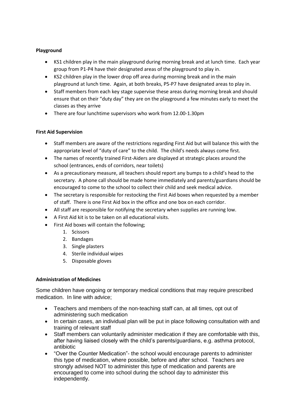#### **Playground**

- KS1 children play in the main playground during morning break and at lunch time. Each year group from P1-P4 have their designated areas of the playground to play in.
- KS2 children play in the lower drop off area during morning break and in the main playground at lunch time. Again, at both breaks, P5-P7 have designated areas to play in.
- Staff members from each key stage supervise these areas during morning break and should ensure that on their "duty day" they are on the playground a few minutes early to meet the classes as they arrive
- There are four lunchtime supervisors who work from 12.00-1.30pm

## **First Aid Supervision**

- Staff members are aware of the restrictions regarding First Aid but will balance this with the appropriate level of "duty of care" to the child. The child's needs always come first.
- The names of recently trained First-Aiders are displayed at strategic places around the school (entrances, ends of corridors, near toilets)
- As a precautionary measure, all teachers should report any bumps to a child's head to the secretary. A phone call should be made home immediately and parents/guardians should be encouraged to come to the school to collect their child and seek medical advice.
- The secretary is responsible for restocking the First Aid boxes when requested by a member of staff. There is one First Aid box in the office and one box on each corridor.
- All staff are responsible for notifying the secretary when supplies are running low.
- A First Aid kit is to be taken on all educational visits.
- First Aid boxes will contain the following;
	- 1. Scissors
	- 2. Bandages
	- 3. Single plasters
	- 4. Sterile individual wipes
	- 5. Disposable gloves

#### **Administration of Medicines**

Some children have ongoing or temporary medical conditions that may require prescribed medication. In line with advice;

- Teachers and members of the non-teaching staff can, at all times, opt out of administering such medication
- In certain cases, an individual plan will be put in place following consultation with and training of relevant staff
- Staff members can voluntarily administer medication if they are comfortable with this, after having liaised closely with the child's parents/guardians, e.g. asthma protocol, antibiotic
- "Over the Counter Medication"- the school would encourage parents to administer this type of medication, where possible, before and after school. Teachers are strongly advised NOT to administer this type of medication and parents are encouraged to come into school during the school day to administer this independently.